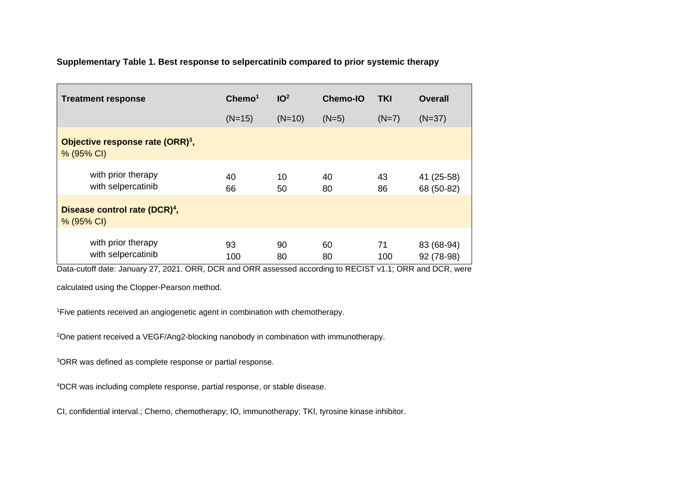## **Supplementary Table 1. Best response to selpercatinib compared to prior systemic therapy**

|                                                         | <b>Treatment response</b>                    | Chemo <sup>1</sup><br>$(N=15)$ | IO <sup>2</sup><br>$(N=10)$ | <b>Chemo-IO</b><br>$(N=5)$ | TKI<br>$(N=7)$ | <b>Overall</b><br>$(N=37)$ |
|---------------------------------------------------------|----------------------------------------------|--------------------------------|-----------------------------|----------------------------|----------------|----------------------------|
| % (95% CI)                                              | Objective response rate (ORR) <sup>3</sup> , |                                |                             |                            |                |                            |
|                                                         | with prior therapy<br>with selpercatinib     | 40<br>66                       | 10<br>50                    | 40<br>80                   | 43<br>86       | 41 (25-58)<br>68 (50-82)   |
| Disease control rate (DCR) <sup>4</sup> ,<br>% (95% CI) |                                              |                                |                             |                            |                |                            |
|                                                         | with prior therapy<br>with selpercatinib     | 93<br>100                      | 90<br>80                    | 60<br>80                   | 71<br>100      | 83 (68-94)<br>92 (78-98)   |

Data-cutoff date: January 27, 2021. ORR, DCR and ORR assessed according to RECIST v1.1; ORR and DCR, were

calculated using the Clopper-Pearson method.

<sup>1</sup>Five patients received an angiogenetic agent in combination with chemotherapy.

<sup>2</sup>One patient received a VEGF/Ang2-blocking nanobody in combination with immunotherapy.

<sup>3</sup>ORR was defined as complete response or partial response.

<sup>4</sup>DCR was including complete response, partial response, or stable disease.

CI, confidential interval.; Chemo, chemotherapy; IO, immunotherapy; TKI, tyrosine kinase inhibitor.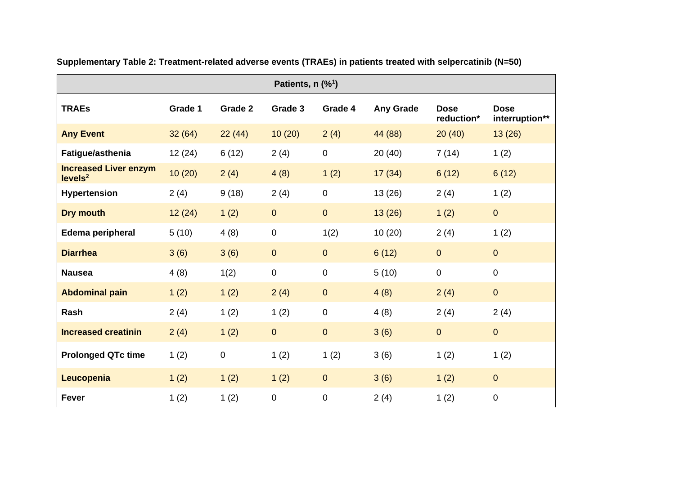| Patients, $n$ (% <sup>1</sup> )                     |         |           |                |                |                  |                           |                               |  |
|-----------------------------------------------------|---------|-----------|----------------|----------------|------------------|---------------------------|-------------------------------|--|
| <b>TRAEs</b>                                        | Grade 1 | Grade 2   | Grade 3        | Grade 4        | <b>Any Grade</b> | <b>Dose</b><br>reduction* | <b>Dose</b><br>interruption** |  |
| <b>Any Event</b>                                    | 32(64)  | 22(44)    | 10(20)         | 2(4)           | 44 (88)          | 20(40)                    | 13(26)                        |  |
| Fatigue/asthenia                                    | 12(24)  | 6(12)     | 2(4)           | $\mathbf 0$    | 20(40)           | 7(14)                     | 1(2)                          |  |
| <b>Increased Liver enzym</b><br>levels <sup>2</sup> | 10(20)  | 2(4)      | 4(8)           | 1(2)           | 17(34)           | 6(12)                     | 6(12)                         |  |
| <b>Hypertension</b>                                 | 2(4)    | 9(18)     | 2(4)           | $\mathbf 0$    | 13(26)           | 2(4)                      | 1(2)                          |  |
| <b>Dry mouth</b>                                    | 12(24)  | 1(2)      | $\overline{0}$ | $\overline{0}$ | 13(26)           | 1(2)                      | $\overline{0}$                |  |
| Edema peripheral                                    | 5(10)   | 4(8)      | $\pmb{0}$      | 1(2)           | 10(20)           | 2(4)                      | 1(2)                          |  |
| <b>Diarrhea</b>                                     | 3(6)    | 3(6)      | $\overline{0}$ | $\overline{0}$ | 6(12)            | $\overline{0}$            | $\overline{0}$                |  |
| <b>Nausea</b>                                       | 4(8)    | 1(2)      | $\mathbf 0$    | $\mathbf 0$    | 5(10)            | $\overline{0}$            | 0                             |  |
| <b>Abdominal pain</b>                               | 1(2)    | 1(2)      | 2(4)           | $\overline{0}$ | 4(8)             | 2(4)                      | $\overline{0}$                |  |
| Rash                                                | 2(4)    | 1(2)      | 1(2)           | $\pmb{0}$      | 4(8)             | 2(4)                      | 2(4)                          |  |
| <b>Increased creatinin</b>                          | 2(4)    | 1(2)      | $\overline{0}$ | $\mathbf 0$    | 3(6)             | $\overline{0}$            | $\overline{0}$                |  |
| <b>Prolonged QTc time</b>                           | 1(2)    | $\pmb{0}$ | 1(2)           | 1(2)           | 3(6)             | 1(2)                      | 1(2)                          |  |
| Leucopenia                                          | 1(2)    | 1(2)      | 1(2)           | $\overline{0}$ | 3(6)             | 1(2)                      | $\overline{0}$                |  |
| <b>Fever</b>                                        | 1(2)    | 1(2)      | $\mathbf 0$    | $\overline{0}$ | 2(4)             | 1(2)                      | $\pmb{0}$                     |  |

**Supplementary Table 2: Treatment-related adverse events (TRAEs) in patients treated with selpercatinib (N=50)**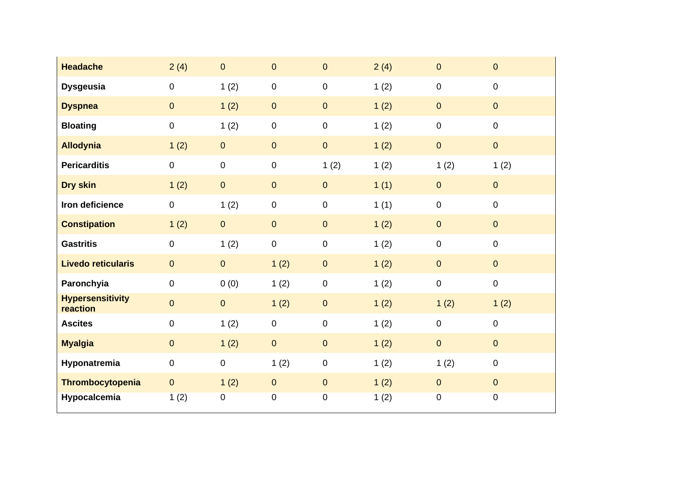| <b>Headache</b>                     | 2(4)             | $\overline{0}$ | $\mathbf 0$ | $\pmb{0}$   | 2(4) | $\pmb{0}$      | $\overline{0}$   |
|-------------------------------------|------------------|----------------|-------------|-------------|------|----------------|------------------|
| <b>Dysgeusia</b>                    | $\boldsymbol{0}$ | 1(2)           | $\pmb{0}$   | $\pmb{0}$   | 1(2) | $\pmb{0}$      | $\overline{0}$   |
| <b>Dyspnea</b>                      | $\overline{0}$   | 1(2)           | $\pmb{0}$   | $\pmb{0}$   | 1(2) | $\overline{0}$ | $\overline{0}$   |
| <b>Bloating</b>                     | $\boldsymbol{0}$ | 1(2)           | $\pmb{0}$   | $\pmb{0}$   | 1(2) | $\pmb{0}$      | $\boldsymbol{0}$ |
| <b>Allodynia</b>                    | 1(2)             | $\mathbf{O}$   | $\mathbf 0$ | $\mathbf 0$ | 1(2) | $\mathbf 0$    | $\overline{0}$   |
| <b>Pericarditis</b>                 | $\pmb{0}$        | $\mathbf 0$    | $\pmb{0}$   | 1(2)        | 1(2) | 1(2)           | 1(2)             |
| Dry skin                            | 1(2)             | $\overline{0}$ | $\mathbf 0$ | $\pmb{0}$   | 1(1) | $\pmb{0}$      | $\overline{0}$   |
| Iron deficience                     | $\boldsymbol{0}$ | 1(2)           | $\pmb{0}$   | $\mathbf 0$ | 1(1) | $\pmb{0}$      | $\mathbf 0$      |
| <b>Constipation</b>                 | 1(2)             | $\overline{0}$ | $\pmb{0}$   | $\pmb{0}$   | 1(2) | $\overline{0}$ | $\overline{0}$   |
| <b>Gastritis</b>                    | $\mathbf 0$      | 1(2)           | $\pmb{0}$   | $\pmb{0}$   | 1(2) | $\pmb{0}$      | $\boldsymbol{0}$ |
| <b>Livedo reticularis</b>           | $\overline{0}$   | $\overline{0}$ | 1(2)        | $\pmb{0}$   | 1(2) | $\mathbf{0}$   | $\overline{0}$   |
| Paronchyia                          | $\boldsymbol{0}$ | 0(0)           | 1(2)        | $\pmb{0}$   | 1(2) | $\pmb{0}$      | $\pmb{0}$        |
| <b>Hypersensitivity</b><br>reaction | $\mathbf 0$      | $\overline{0}$ | 1(2)        | $\pmb{0}$   | 1(2) | 1(2)           | 1(2)             |
| <b>Ascites</b>                      | $\boldsymbol{0}$ | 1(2)           | $\mathbf 0$ | $\pmb{0}$   | 1(2) | $\pmb{0}$      | $\overline{0}$   |
| <b>Myalgia</b>                      | $\mathbf{0}$     | 1(2)           | $\pmb{0}$   | $\mathbf 0$ | 1(2) | $\mathbf 0$    | $\overline{0}$   |
| Hyponatremia                        | $\boldsymbol{0}$ | $\mathbf 0$    | 1(2)        | $\pmb{0}$   | 1(2) | 1(2)           | $\mathbf 0$      |
| Thrombocytopenia                    | $\overline{0}$   | 1(2)           | $\pmb{0}$   | $\pmb{0}$   | 1(2) | $\mathbf{0}$   | $\overline{0}$   |
| Hypocalcemia                        | 1(2)             | 0              | 0           | $\pmb{0}$   | 1(2) | $\pmb{0}$      | $\pmb{0}$        |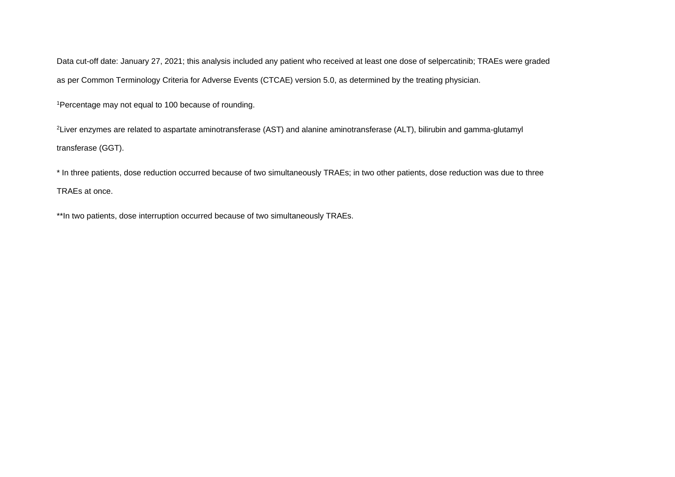Data cut-off date: January 27, 2021; this analysis included any patient who received at least one dose of selpercatinib; TRAEs were graded as per Common Terminology Criteria for Adverse Events (CTCAE) version 5.0, as determined by the treating physician.

<sup>1</sup>Percentage may not equal to 100 because of rounding.

<sup>2</sup>Liver enzymes are related to aspartate aminotransferase (AST) and alanine aminotransferase (ALT), bilirubin and gamma-glutamyl transferase (GGT).

\* In three patients, dose reduction occurred because of two simultaneously TRAEs; in two other patients, dose reduction was due to three TRAEs at once.

\*\*In two patients, dose interruption occurred because of two simultaneously TRAEs.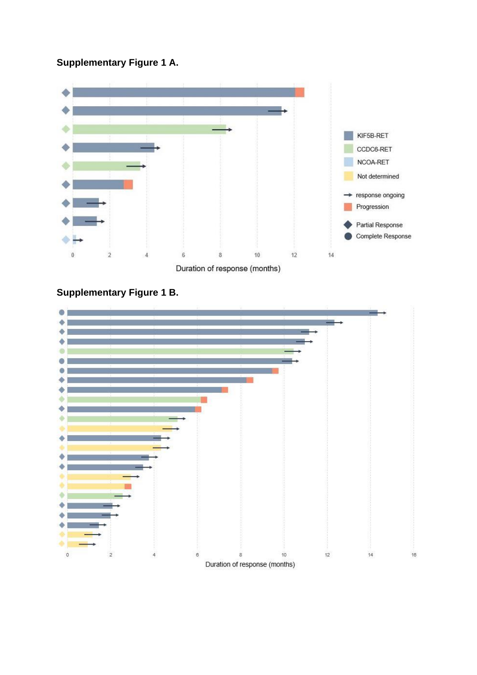## **Supplementary Figure 1 A.**





## **Supplementary Figure 1 B.**